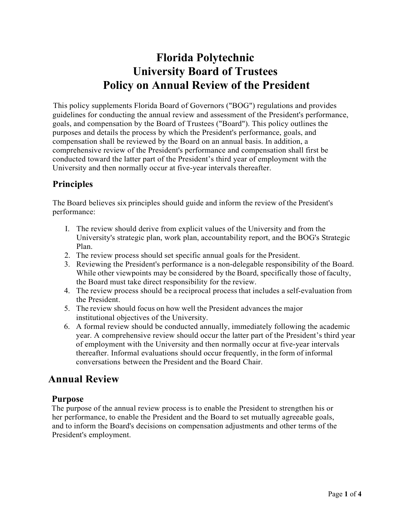# **Florida Polytechnic University Board of Trustees Policy on Annual Review of the President**

This policy supplements Florida Board of Governors ("BOG") regulations and provides guidelines for conducting the annual review and assessment of the President's performance, goals, and compensation by the Board of Trustees ("Board"). This policy outlines the purposes and details the process by which the President's performance, goals, and compensation shall be reviewed by the Board on an annual basis. In addition, a comprehensive review of the President's performance and compensation shall first be conducted toward the latter part of the President's third year of employment with the University and then normally occur at five-year intervals thereafter.

### **Principles**

The Board believes six principles should guide and inform the review of the President's performance:

- I. The review should derive from explicit values of the University and from the University's strategic plan, work plan, accountability report, and the BOG's Strategic Plan.
- 2. The review process should set specific annual goals for the President.
- 3. Reviewing the President's performance is a non-delegable responsibility of the Board. While other viewpoints may be considered by the Board, specifically those of faculty, the Board must take direct responsibility for the review.
- 4. The review process should be a reciprocal process that includes a self-evaluation from the President.
- 5. The review should focus on how well the President advances the major institutional objectives of the University.
- 6. A formal review should be conducted annually, immediately following the academic year. A comprehensive review should occur the latter part of the President's third year of employment with the University and then normally occur at five-year intervals thereafter. Informal evaluations should occur frequently, in the form of informal conversations between the President and the Board Chair.

### **Annual Review**

### **Purpose**

The purpose of the annual review process is to enable the President to strengthen his or her performance, to enable the President and the Board to set mutually agreeable goals, and to inform the Board's decisions on compensation adjustments and other terms of the President's employment.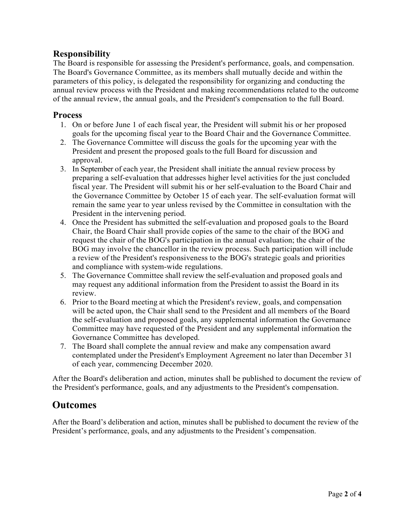### **Responsibility**

The Board is responsible for assessing the President's performance, goals, and compensation. The Board's Governance Committee, as its members shall mutually decide and within the parameters of this policy, is delegated the responsibility for organizing and conducting the annual review process with the President and making recommendations related to the outcome of the annual review, the annual goals, and the President's compensation to the full Board.

#### **Process**

- 1. On or before June 1 of each fiscal year, the President will submit his or her proposed goals for the upcoming fiscal year to the Board Chair and the Governance Committee.
- 2. The Governance Committee will discuss the goals for the upcoming year with the President and present the proposed goals to the full Board for discussion and approval.
- 3. In September of each year, the President shall initiate the annual review process by preparing a self-evaluation that addresses higher level activities for the just concluded fiscal year. The President will submit his or her self-evaluation to the Board Chair and the Governance Committee by October 15 of each year. The self-evaluation format will remain the same year to year unless revised by the Committee in consultation with the President in the intervening period.
- 4. Once the President has submitted the self-evaluation and proposed goals to the Board Chair, the Board Chair shall provide copies of the same to the chair of the BOG and request the chair of the BOG's participation in the annual evaluation; the chair of the BOG may involve the chancellor in the review process. Such participation will include a review of the President's responsiveness to the BOG's strategic goals and priorities and compliance with system-wide regulations.
- 5. The Governance Committee shall review the self-evaluation and proposed goals and may request any additional information from the President to assist the Board in its review.
- 6. Prior to the Board meeting at which the President's review, goals, and compensation will be acted upon, the Chair shall send to the President and all members of the Board the self-evaluation and proposed goals, any supplemental information the Governance Committee may have requested of the President and any supplemental information the Governance Committee has developed.
- 7. The Board shall complete the annual review and make any compensation award contemplated under the President's Employment Agreement no later than December 31 of each year, commencing December 2020.

After the Board's deliberation and action, minutes shall be published to document the review of the President's performance, goals, and any adjustments to the President's compensation.

### **Outcomes**

After the Board's deliberation and action, minutes shall be published to document the review of the President's performance, goals, and any adjustments to the President's compensation.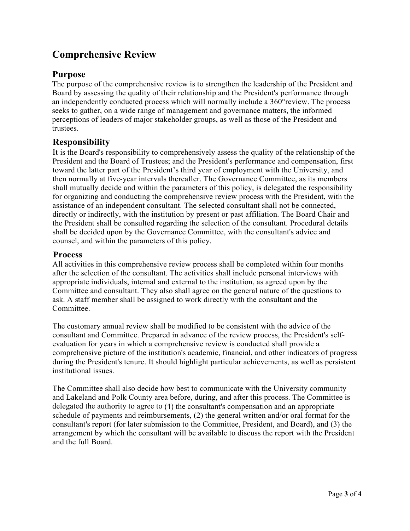## **Comprehensive Review**

### **Purpose**

The purpose of the comprehensive review is to strengthen the leadership of the President and Board by assessing the quality of their relationship and the President's performance through an independently conducted process which will normally include a 360°review. The process seeks to gather, on a wide range of management and governance matters, the informed perceptions of leaders of major stakeholder groups, as well as those of the President and trustees.

### **Responsibility**

It is the Board's responsibility to comprehensively assess the quality of the relationship of the President and the Board of Trustees; and the President's performance and compensation, first toward the latter part of the President's third year of employment with the University, and then normally at five-year intervals thereafter. The Governance Committee, as its members shall mutually decide and within the parameters of this policy, is delegated the responsibility for organizing and conducting the comprehensive review process with the President, with the assistance of an independent consultant. The selected consultant shall not be connected, directly or indirectly, with the institution by present or past affiliation. The Board Chair and the President shall be consulted regarding the selection of the consultant. Procedural details shall be decided upon by the Governance Committee, with the consultant's advice and counsel, and within the parameters of this policy.

#### **Process**

All activities in this comprehensive review process shall be completed within four months after the selection of the consultant. The activities shall include personal interviews with appropriate individuals, internal and external to the institution, as agreed upon by the Committee and consultant. They also shall agree on the general nature of the questions to ask. A staff member shall be assigned to work directly with the consultant and the Committee.

The customary annual review shall be modified to be consistent with the advice of the consultant and Committee. Prepared in advance of the review process, the President's selfevaluation for years in which a comprehensive review is conducted shall provide a comprehensive picture of the institution's academic, financial, and other indicators of progress during the President's tenure. It should highlight particular achievements, as well as persistent institutional issues.

The Committee shall also decide how best to communicate with the University community and Lakeland and Polk County area before, during, and after this process. The Committee is delegated the authority to agree to (1) the consultant's compensation and an appropriate schedule of payments and reimbursements, (2) the general written and/or oral format for the consultant's report (for later submission to the Committee, President, and Board), and (3) the arrangement by which the consultant will be available to discuss the report with the President and the full Board.